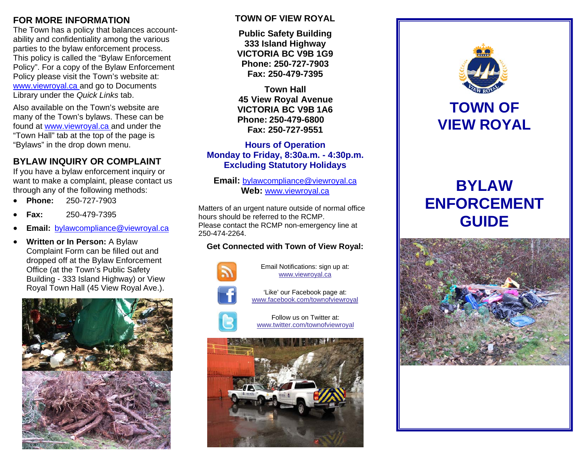### **FOR MORE INFORMATION**

The Town has a policy that balances accountability and confidentiality among the various parties to the bylaw enforcement process. This policy is called the "Bylaw Enforcement Policy". For a copy of the Bylaw Enforcement Policy please visit the Town's website at: www.viewroyal.ca and go to Documents Library under the *Quick Links* tab.

Also available on the Town's website are many of the Town's bylaws. These can be found at www.viewroyal.ca and under the "Town Hall" tab at the top of the page is "Bylaws" in the drop down menu.

## **BYLAW INQUIRY OR COMPLAINT**

If you have a bylaw enforcement inquiry or want to make a complaint, please contact us through any of the following methods:

- 0 **Phone:** 250-727-7903
- 0 **Fax:** 250-479-7395
- 0 **Email:** bylawcompliance@viewroyal.ca
- . **Written or In Person:** A Bylaw Complaint Form can be filled out and dropped off at the Bylaw Enforcement Office (at the Town's Public Safety Building - 333 Island Highway) or View Royal Town Hall (45 View Royal Ave.).



#### **TOWN OF VIEW ROYAL**

**Public Safety Building 333 Island Highway VICTORIA BC V9B 1G9 Phone: 250-727-7903 Fax: 250-479-7395** 

**Town Hall 45 View Royal Avenue VICTORIA BC V9B 1A6 Phone: 250-479-6800 Fax: 250-727-9551** 

**Hours of Operation Monday to Friday, 8:30a.m. - 4:30p.m. Excluding Statutory Holidays**

**Email:** bylawcompliance@viewroyal.ca **Web:** www.viewroyal.ca

Matters of an urgent nature outside of normal office hours should be referred to the RCMP. Please contact the RCMP non-emergency line at 250-474-2264.

### **Get Connected with Town of View Royal:**



Email Notifications: sign up at: www.viewroyal.ca

'Like' our Facebook page at: www.facebook.com/townofviewroyal



Follow us on Twitter at: www.twitter.com/townofviewroyal





# **TOWN OF VIEW ROYAL**

# **BYLAW ENFORCEMENT GUIDE**